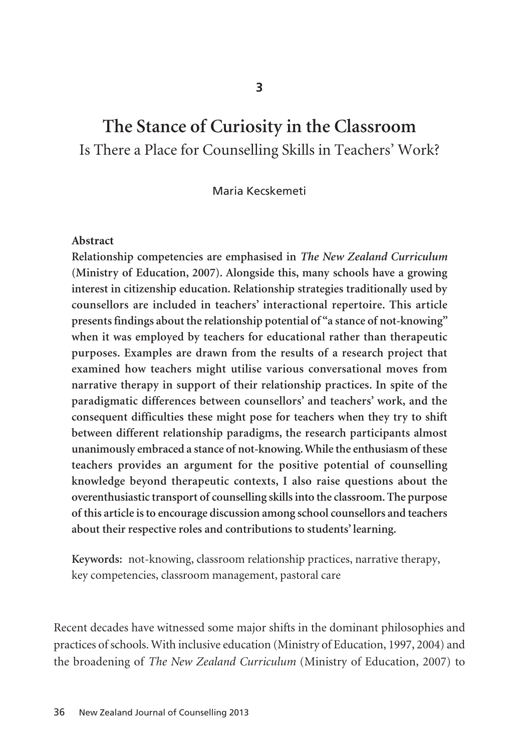# **The Stance of Curiosity in the Classroom** Is There a Place for Counselling Skills in Teachers' Work?

Maria Kecskemeti

#### **Abstract**

**Relationship competencies are emphasised in** *The New Zealand Curriculum* **(Ministry of Education, 2007). Alongside this, many schools have a growing interest in citizenship education. Relationship strategies traditionally used by counsellors are included in teachers' interactional repertoire. This article presents findings about the relationship potential of "a stance of not-knowing" when it was employed by teachers for educational rather than therapeutic purposes. Examples are drawn from the results of a research project that examined how teachers might utilise various conversational moves from narrative therapy in support of their relationship practices. In spite of the paradigmatic differences between counsellors' and teachers' work, and the consequent difficulties these might pose for teachers when they try to shift between different relationship paradigms, the research participants almost unanimously embraced a stance of not-knowing. While the enthusiasm of these teachers provides an argument for the positive potential of counselling knowledge beyond therapeutic contexts, I also raise questions about the overenthusiastic transport of counselling skills into the classroom. The purpose of this article is to encourage discussion among school counsellors and teachers about their respective roles and contributions to students' learning.** 

**Keywords:** not-knowing, classroom relationship practices, narrative therapy, key competencies, classroom management, pastoral care

Recent decades have witnessed some major shifts in the dominant philosophies and practices of schools. With inclusive education (Ministry of Education, 1997, 2004) and the broadening of *The New Zealand Curriculum* (Ministry of Education, 2007) to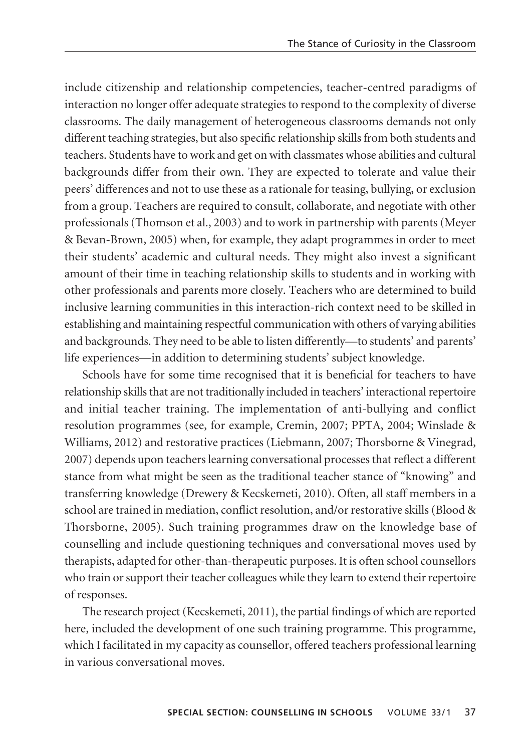include citizenship and relationship competencies, teacher-centred paradigms of interaction no longer offer adequate strategies to respond to the complexity of diverse classrooms. The daily management of heterogeneous classrooms demands not only different teaching strategies, but also specific relationship skills from both students and teachers. Students have to work and get on with classmates whose abilities and cultural backgrounds differ from their own. They are expected to tolerate and value their peers' differences and not to use these as a rationale for teasing, bullying, or exclusion from a group. Teachers are required to consult, collaborate, and negotiate with other professionals (Thomson et al., 2003) and to work in partnership with parents (Meyer & Bevan-Brown, 2005) when, for example, they adapt programmes in order to meet their students' academic and cultural needs. They might also invest a significant amount of their time in teaching relationship skills to students and in working with other professionals and parents more closely. Teachers who are determined to build inclusive learning communities in this interaction-rich context need to be skilled in establishing and maintaining respectful communication with others of varying abilities and backgrounds. They need to be able to listen differently—to students' and parents' life experiences—in addition to determining students' subject knowledge.

Schools have for some time recognised that it is beneficial for teachers to have relationship skills that are not traditionally included in teachers' interactional repertoire and initial teacher training. The implementation of anti-bullying and conflict resolution programmes (see, for example, Cremin, 2007; PPTA, 2004; Winslade & Williams, 2012) and restorative practices (Liebmann, 2007; Thorsborne & Vinegrad, 2007) depends upon teachers learning conversational processes that reflect a different stance from what might be seen as the traditional teacher stance of "knowing" and transferring knowledge (Drewery & Kecskemeti, 2010). Often, all staff members in a school are trained in mediation, conflict resolution, and/or restorative skills (Blood & Thorsborne, 2005). Such training programmes draw on the knowledge base of counselling and include questioning techniques and conversational moves used by therapists, adapted for other-than-therapeutic purposes. It is often school counsellors who train or support their teacher colleagues while they learn to extend their repertoire of responses.

The research project (Kecskemeti, 2011), the partial findings of which are reported here, included the development of one such training programme. This programme, which I facilitated in my capacity as counsellor, offered teachers professional learning in various conversational moves.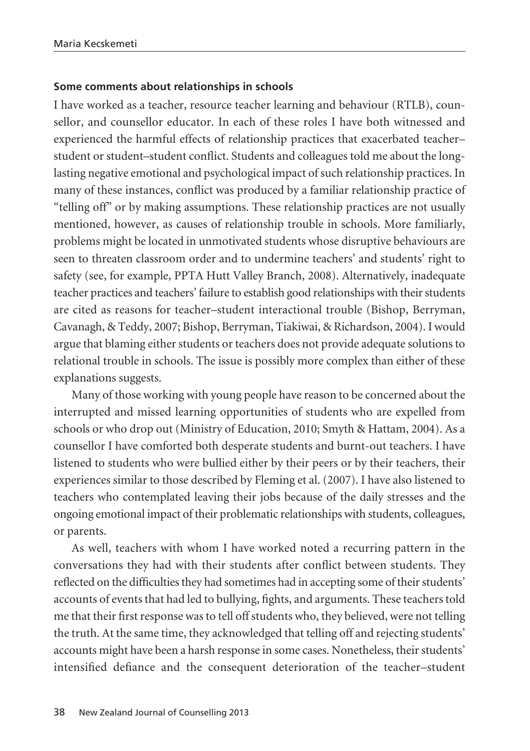#### **Some comments about relationships in schools**

I have worked as a teacher, resource teacher learning and behaviour (RTLB), coun sellor, and counsellor educator. In each of these roles I have both witnessed and experienced the harmful effects of relationship practices that exacerbated teacher– student or student–student conflict. Students and colleagues told me about the longlasting negative emotional and psychological impact of such relationship practices. In many of these instances, conflict was produced by a familiar relationship practice of "telling off" or by making assumptions. These relationship practices are not usually mentioned, however, as causes of relationship trouble in schools. More familiarly, problems might be located in unmotivated students whose disruptive behaviours are seen to threaten classroom order and to undermine teachers' and students' right to safety (see, for example, PPTA Hutt Valley Branch, 2008). Alternatively, inadequate teacher practices and teachers' failure to establish good relationships with their students are cited as reasons for teacher–student interactional trouble (Bishop, Berryman, Cavanagh, & Teddy, 2007; Bishop, Berryman, Tiakiwai, & Richardson, 2004). I would argue that blaming either students or teachers does not provide adequate solutions to relational trouble in schools. The issue is possibly more complex than either of these explanations suggests.

Many of those working with young people have reason to be concerned about the interrupted and missed learning opportunities of students who are expelled from schools or who drop out (Ministry of Education, 2010; Smyth & Hattam, 2004). As a counsellor I have comforted both desperate students and burnt-out teachers. I have listened to students who were bullied either by their peers or by their teachers, their experiences similar to those described by Fleming et al. (2007). I have also listened to teachers who contemplated leaving their jobs because of the daily stresses and the ongoing emotional impact of their problematic relationships with students, colleagues, or parents.

As well, teachers with whom I have worked noted a recurring pattern in the conversations they had with their students after conflict between students. They reflected on the difficulties they had sometimes had in accepting some of their students' accounts of events that had led to bullying, fights, and arguments. These teachers told me that their first response was to tell off students who, they believed, were not telling the truth. At the same time, they acknowledged that telling off and rejecting students' accounts might have been a harsh response in some cases. Nonetheless, their students' intensified defiance and the consequent deterioration of the teacher–student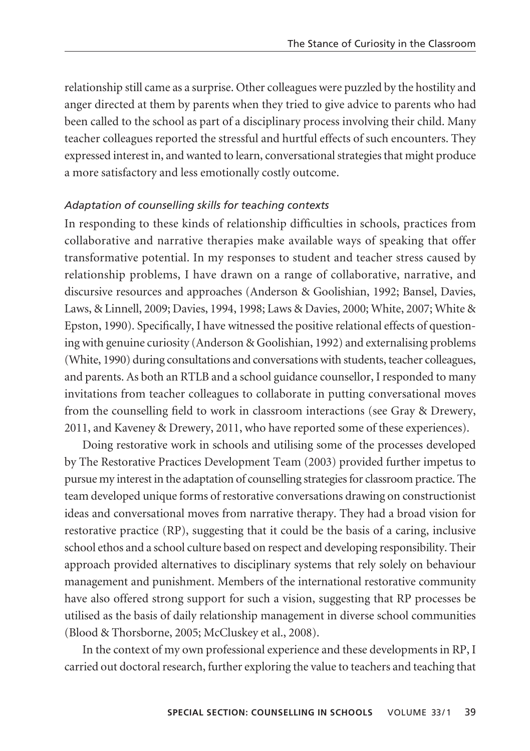relationship still came as a surprise. Other colleagues were puzzled by the hostility and anger directed at them by parents when they tried to give advice to parents who had been called to the school as part of a disciplinary process involving their child. Many teacher colleagues reported the stressful and hurtful effects of such encounters. They expressed interest in, and wanted to learn, conversational strategies that might produce a more satisfactory and less emotionally costly outcome.

#### *Adaptation of counselling skills for teaching contexts*

In responding to these kinds of relationship difficulties in schools, practices from collaborative and narrative therapies make available ways of speaking that offer transformative potential. In my responses to student and teacher stress caused by relationship problems, I have drawn on a range of collaborative, narrative, and discursive resources and approaches (Anderson & Goolishian, 1992; Bansel, Davies, Laws, & Linnell, 2009; Davies, 1994, 1998; Laws & Davies, 2000; White, 2007; White & Epston, 1990). Specifically, I have witnessed the positive relational effects of questioning with genuine curiosity (Anderson & Goolishian, 1992) and externalising problems (White, 1990) during consultations and conversations with students, teacher colleagues, and parents. As both an RTLB and a school guidance counsellor, I responded to many invitations from teacher colleagues to collaborate in putting conversational moves from the counselling field to work in classroom interactions (see Gray & Drewery, 2011, and Kaveney & Drewery, 2011, who have reported some of these experiences).

Doing restorative work in schools and utilising some of the processes developed by The Restorative Practices Development Team (2003) provided further impetus to pursue my interest in the adaptation of counselling strategies for classroom practice. The team developed unique forms of restorative conversations drawing on constructionist ideas and conversational moves from narrative therapy. They had a broad vision for restorative practice (RP), suggesting that it could be the basis of a caring, inclusive school ethos and a school culture based on respect and developing responsibility. Their approach provided alternatives to disciplinary systems that rely solely on behaviour management and punishment. Members of the international restorative community have also offered strong support for such a vision, suggesting that RP processes be utilised as the basis of daily relationship management in diverse school communities (Blood & Thorsborne, 2005; McCluskey et al., 2008).

In the context of my own professional experience and these developments in RP, I carried out doctoral research, further exploring the value to teachers and teaching that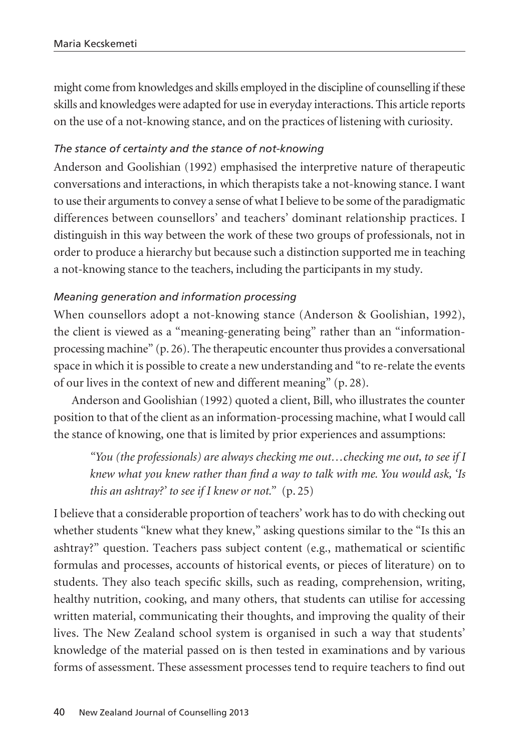might come from knowledges and skills employed in the discipline of counselling if these skills and knowledges were adapted for use in everyday interactions. This article reports on the use of a not-knowing stance, and on the practices of listening with curiosity.

# *The stance of certainty and the stance of not-knowing*

Anderson and Goolishian (1992) emphasised the interpretive nature of therapeutic conversations and interactions, in which therapists take a not-knowing stance. I want to use their arguments to convey a sense of what I believe to be some of the paradigmatic differences between counsellors' and teachers' dominant relationship practices. I distinguish in this way between the work of these two groups of professionals, not in order to produce a hierarchy but because such a distinction supported me in teaching a not-knowing stance to the teachers, including the participants in my study.

## *Meaning generation and information processing*

When counsellors adopt a not-knowing stance (Anderson & Goolishian, 1992), the client is viewed as a "meaning-generating being" rather than an "informationprocessing machine" (p. 26). The therapeutic encounter thus provides a conversational space in which it is possible to create a new understanding and "to re-relate the events of our lives in the context of new and different meaning" (p. 28).

Anderson and Goolishian (1992) quoted a client, Bill, who illustrates the counter position to that of the client as an information-processing machine, what I would call the stance of knowing, one that is limited by prior experiences and assumptions:

*"You (the professionals) are always checking me out…checking me out, to see if I knew what you knew rather than find a way to talk with me. You would ask, 'Is this an ashtray?' to see if I knew or not.*" (p. 25)

I believe that a considerable proportion of teachers' work has to do with checking out whether students "knew what they knew," asking questions similar to the "Is this an ashtray?" question. Teachers pass subject content (e.g., mathematical or scientific formulas and processes, accounts of historical events, or pieces of literature) on to students. They also teach specific skills, such as reading, comprehension, writing, healthy nutrition, cooking, and many others, that students can utilise for accessing written material, communicating their thoughts, and improving the quality of their lives. The New Zealand school system is organised in such a way that students' knowledge of the material passed on is then tested in examinations and by various forms of assessment. These assessment processes tend to require teachers to find out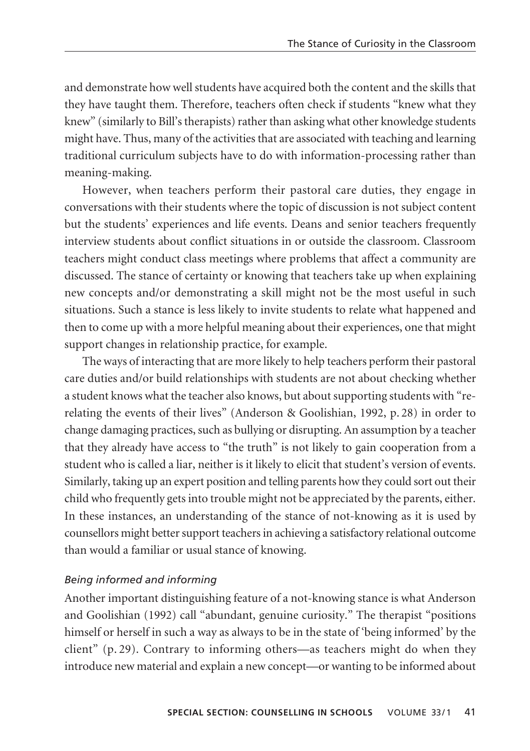and demonstrate how well students have acquired both the content and the skills that they have taught them. Therefore, teachers often check if students "knew what they knew" (similarly to Bill's therapists) rather than asking what other knowledge students might have. Thus, many of the activities that are associated with teaching and learning traditional curriculum subjects have to do with information-processing rather than meaning-making.

However, when teachers perform their pastoral care duties, they engage in conversations with their students where the topic of discussion is not subject content but the students' experiences and life events. Deans and senior teachers frequently interview students about conflict situations in or outside the classroom. Classroom teachers might conduct class meetings where problems that affect a community are discussed. The stance of certainty or knowing that teachers take up when explaining new concepts and/or demonstrating a skill might not be the most useful in such situations. Such a stance is less likely to invite students to relate what happened and then to come up with a more helpful meaning about their experiences, one that might support changes in relationship practice, for example.

The ways of interacting that are more likely to help teachers perform their pastoral care duties and/or build relationships with students are not about checking whether a student knows what the teacher also knows, but about supporting students with "rerelating the events of their lives" (Anderson & Goolishian, 1992, p. 28) in order to change damaging practices, such as bullying or disrupting. An assumption by a teacher that they already have access to "the truth" is not likely to gain cooperation from a student who is called a liar, neither is it likely to elicit that student's version of events. Similarly, taking up an expert position and telling parents how they could sort out their child who frequently gets into trouble might not be appreciated by the parents, either. In these instances, an understanding of the stance of not-knowing as it is used by counsellors might better support teachers in achieving a satisfactory relational outcome than would a familiar or usual stance of knowing.

#### *Being informed and informing*

Another important distinguishing feature of a not-knowing stance is what Anderson and Goolishian (1992) call "abundant, genuine curiosity." The therapist "positions himself or herself in such a way as always to be in the state of 'being informed' by the client" (p. 29). Contrary to informing others—as teachers might do when they introduce new material and explain a new concept—or wanting to be informed about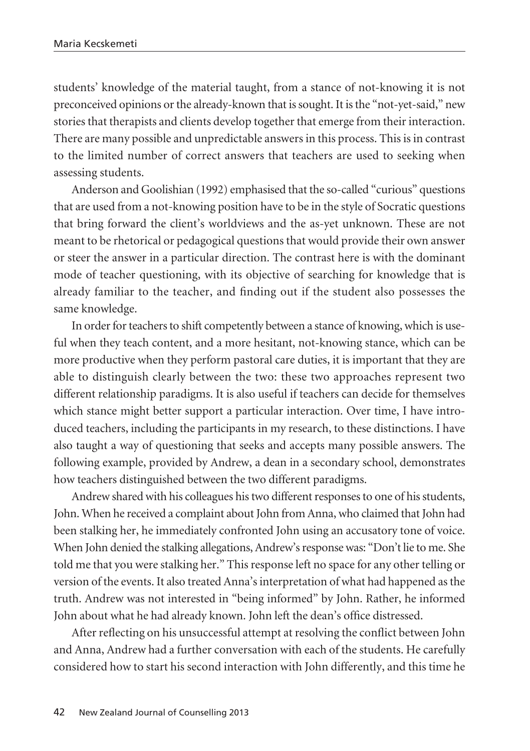students' knowledge of the material taught, from a stance of not-knowing it is not preconceived opinions or the already-known that is sought. It is the "not-yet-said," new stories that therapists and clients develop together that emerge from their interaction. There are many possible and unpredictable answers in this process. This is in contrast to the limited number of correct answers that teachers are used to seeking when assessing students.

Anderson and Goolishian (1992) emphasised that the so-called "curious" questions that are used from a not-knowing position have to be in the style of Socratic questions that bring forward the client's worldviews and the as-yet unknown. These are not meant to be rhetorical or pedagogical questions that would provide their own answer or steer the answer in a particular direction. The contrast here is with the dominant mode of teacher questioning, with its objective of searching for knowledge that is already familiar to the teacher, and finding out if the student also possesses the same knowledge.

In order for teachers to shift competently between a stance of knowing, which is useful when they teach content, and a more hesitant, not-knowing stance, which can be more productive when they perform pastoral care duties, it is important that they are able to distinguish clearly between the two: these two approaches represent two different relationship paradigms. It is also useful if teachers can decide for themselves which stance might better support a particular interaction. Over time, I have introduced teachers, including the participants in my research, to these distinctions. I have also taught a way of questioning that seeks and accepts many possible answers. The following example, provided by Andrew, a dean in a secondary school, demonstrates how teachers distinguished between the two different paradigms.

Andrew shared with his colleagues his two different responses to one of his students, John. When he received a complaint about John from Anna, who claimed that John had been stalking her, he immediately confronted John using an accusatory tone of voice. When John denied the stalking allegations, Andrew's response was: "Don't lie to me. She told me that you were stalking her." This response left no space for any other telling or version of the events. It also treated Anna's interpretation of what had happened as the truth. Andrew was not interested in "being informed" by John. Rather, he informed John about what he had already known. John left the dean's office distressed.

After reflecting on his unsuccessful attempt at resolving the conflict between John and Anna, Andrew had a further conversation with each of the students. He carefully considered how to start his second interaction with John differently, and this time he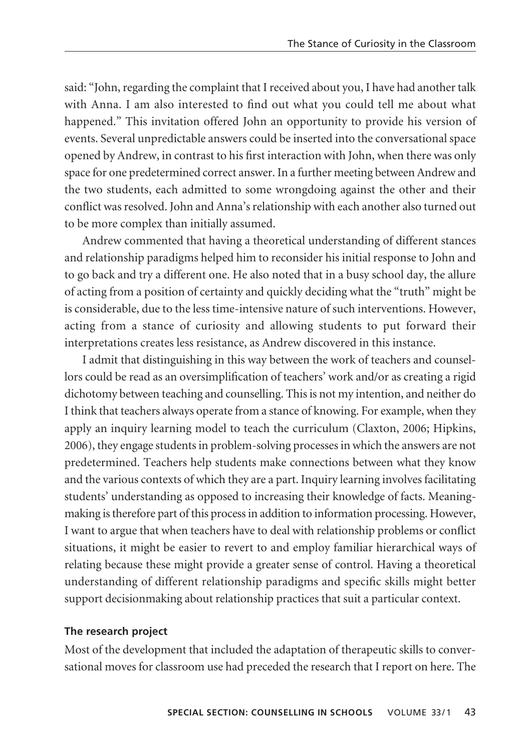said: "John, regarding the complaint that I received about you, I have had another talk with Anna. I am also interested to find out what you could tell me about what happened." This invitation offered John an opportunity to provide his version of events. Several unpredictable answers could be inserted into the conversational space opened by Andrew, in contrast to his first interaction with John, when there was only space for one predetermined correct answer. In a further meeting between Andrew and the two students, each admitted to some wrongdoing against the other and their conflict was resolved. John and Anna's relationship with each another also turned out to be more complex than initially assumed.

Andrew commented that having a theoretical understanding of different stances and relationship paradigms helped him to reconsider his initial response to John and to go back and try a different one. He also noted that in a busy school day, the allure of acting from a position of certainty and quickly deciding what the "truth" might be is considerable, due to the less time-intensive nature of such interventions. However, acting from a stance of curiosity and allowing students to put forward their interpretations creates less resistance, as Andrew discovered in this instance.

I admit that distinguishing in this way between the work of teachers and counsellors could be read as an oversimplification of teachers' work and/or as creating a rigid dichotomy between teaching and counselling. This is not my intention, and neither do I think that teachers always operate from a stance of knowing. For example, when they apply an inquiry learning model to teach the curriculum (Claxton, 2006; Hipkins, 2006), they engage students in problem-solving processes in which the answers are not predetermined. Teachers help students make connections between what they know and the various contexts of which they are a part. Inquiry learning involves facilitating students' understanding as opposed to increasing their knowledge of facts. Meaningmaking is therefore part of this process in addition to information processing. However, I want to argue that when teachers have to deal with relationship problems or conflict situations, it might be easier to revert to and employ familiar hierarchical ways of relating because these might provide a greater sense of control. Having a theoretical understanding of different relationship paradigms and specific skills might better support decisionmaking about relationship practices that suit a particular context.

#### **The research project**

Most of the development that included the adaptation of therapeutic skills to conversational moves for classroom use had preceded the research that I report on here. The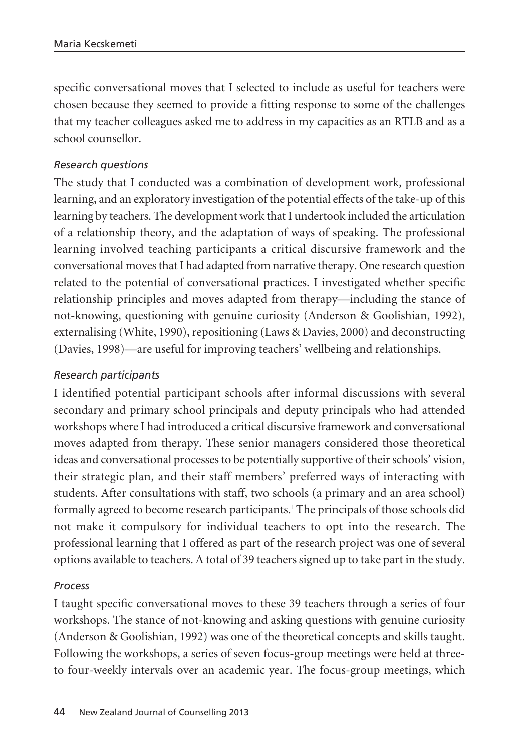specific conversational moves that I selected to include as useful for teachers were chosen because they seemed to provide a fitting response to some of the challenges that my teacher colleagues asked me to address in my capacities as an RTLB and as a school counsellor.

## *Research questions*

The study that I conducted was a combination of development work, professional learning, and an exploratory investigation of the potential effects of the take-up of this learning by teachers. The development work that I undertook included the articulation of a relationship theory, and the adaptation of ways of speaking. The professional learning involved teaching participants a critical discursive framework and the conversational moves that I had adapted from narrative therapy. One research question related to the potential of conversational practices. I investigated whether specific relationship principles and moves adapted from therapy—including the stance of not-knowing, questioning with genuine curiosity (Anderson & Goolishian, 1992), externalising (White, 1990), repositioning (Laws & Davies, 2000) and deconstructing (Davies, 1998)—are useful for improving teachers' wellbeing and relationships.

## *Research participants*

I identified potential participant schools after informal discussions with several secondary and primary school principals and deputy principals who had attended workshops where I had introduced a critical discursive framework and conversational moves adapted from therapy. These senior managers considered those theoretical ideas and conversational processes to be potentially supportive of their schools' vision, their strategic plan, and their staff members' preferred ways of interacting with students. After consultations with staff, two schools (a primary and an area school) formally agreed to become research participants.<sup>1</sup> The principals of those schools did not make it compulsory for individual teachers to opt into the research. The professional learning that I offered as part of the research project was one of several options available to teachers. A total of 39 teachers signed up to take part in the study.

#### *Process*

I taught specific conversational moves to these 39 teachers through a series of four workshops. The stance of not-knowing and asking questions with genuine curiosity (Anderson & Goolishian, 1992) was one of the theoretical concepts and skills taught. Following the workshops, a series of seven focus-group meetings were held at threeto four-weekly intervals over an academic year. The focus-group meetings, which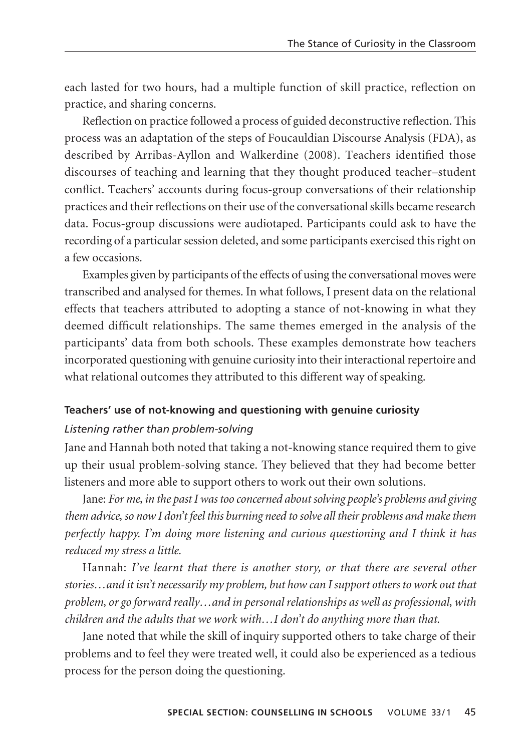each lasted for two hours, had a multiple function of skill practice, reflection on practice, and sharing concerns.

Reflection on practice followed a process of guided deconstructive reflection. This process was an adaptation of the steps of Foucauldian Discourse Analysis (FDA), as described by Arribas-Ayllon and Walkerdine (2008). Teachers identified those discourses of teaching and learning that they thought produced teacher–student conflict. Teachers' accounts during focus-group conversations of their relationship practices and their reflections on their use of the conversational skills became research data. Focus-group discussions were audiotaped. Participants could ask to have the recording of a particular session deleted, and some participants exercised this right on a few occasions.

Examples given by participants of the effects of using the conversational moves were transcribed and analysed for themes. In what follows, I present data on the relational effects that teachers attributed to adopting a stance of not-knowing in what they deemed difficult relationships. The same themes emerged in the analysis of the participants' data from both schools. These examples demonstrate how teachers incorporated questioning with genuine curiosity into their interactional repertoire and what relational outcomes they attributed to this different way of speaking.

## **Teachers' use of not-knowing and questioning with genuine curiosity**

## *Listening rather than problem-solving*

Jane and Hannah both noted that taking a not-knowing stance required them to give up their usual problem-solving stance. They believed that they had become better listeners and more able to support others to work out their own solutions.

Jane: *For me, in the past I was too concerned about solving people's problems and giving them advice, so now I don't feel this burning need to solve all their problems and make them perfectly happy. I'm doing more listening and curious questioning and I think it has reduced my stress a little.* 

Hannah: *I've learnt that there is another story, or that there are several other stories…and it isn't necessarily my problem, but how can I support others to work out that problem, or go forward really…and in personal relationships as well as professional, with children and the adults that we work with…I don't do anything more than that.*

Jane noted that while the skill of inquiry supported others to take charge of their problems and to feel they were treated well, it could also be experienced as a tedious process for the person doing the questioning.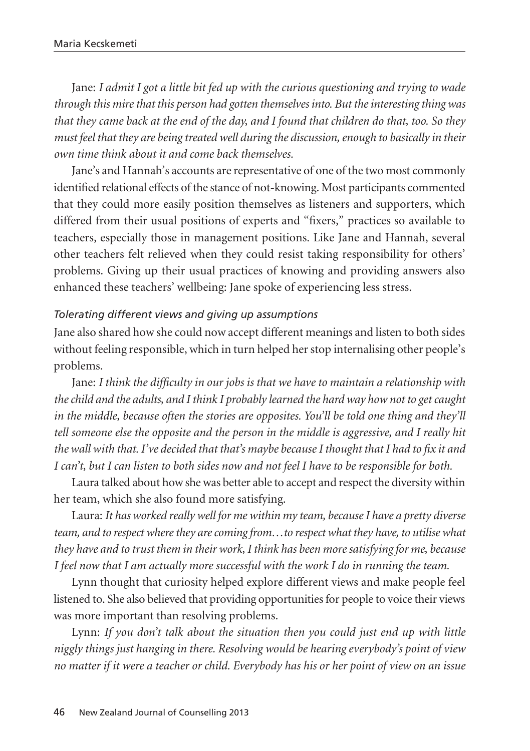Jane: *I admit I got a little bit fed up with the curious questioning and trying to wade through this mire that this person had gotten themselves into. But the interesting thing was that they came back at the end of the day, and I found that children do that, too. So they must feel that they are being treated well during the discussion, enough to basically in their own time think about it and come back themselves.* 

Jane's and Hannah's accounts are representative of one of the two most commonly identified relational effects of the stance of not-knowing. Most participants commented that they could more easily position themselves as listeners and supporters, which differed from their usual positions of experts and "fixers," practices so available to teachers, especially those in management positions. Like Jane and Hannah, several other teachers felt relieved when they could resist taking responsibility for others' problems. Giving up their usual practices of knowing and providing answers also enhanced these teachers' wellbeing: Jane spoke of experiencing less stress.

#### *Tolerating different views and giving up assumptions*

Jane also shared how she could now accept different meanings and listen to both sides without feeling responsible, which in turn helped her stop internalising other people's problems.

Jane: *I think the difficulty in our jobs is that we have to maintain a relationship with the child and the adults, and I think I probably learned the hard way how not to get caught in the middle, because often the stories are opposites. You'll be told one thing and they'll tell someone else the opposite and the person in the middle is aggressive, and I really hit the wall with that. I've decided that that's maybe because I thought that I had to fix it and I can't, but I can listen to both sides now and not feel I have to be responsible for both.*

Laura talked about how she was better able to accept and respect the diversity within her team, which she also found more satisfying.

Laura: *It has worked really well for me within my team, because I have a pretty diverse team, and to respect where they are coming from…to respect what they have, to utilise what they have and to trust them in their work, I think has been more satisfying for me, because I feel now that I am actually more successful with the work I do in running the team.* 

Lynn thought that curiosity helped explore different views and make people feel listened to. She also believed that providing opportunities for people to voice their views was more important than resolving problems.

Lynn: *If you don't talk about the situation then you could just end up with little niggly things just hanging in there. Resolving would be hearing everybody's point of view no matter if it were a teacher or child. Everybody has his or her point of view on an issue*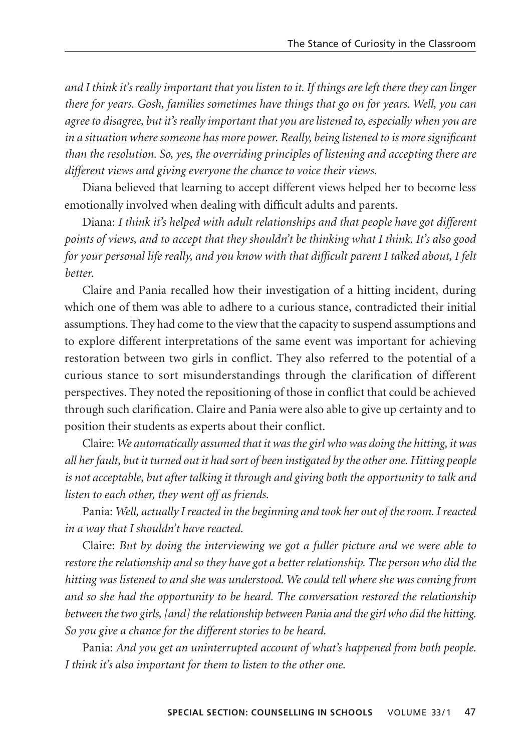*and I think it's really important that you listen to it. If things are left there they can linger there for years. Gosh, families sometimes have things that go on for years. Well, you can agree to disagree, but it's really important that you are listened to, especially when you are in a situation where someone has more power. Really, being listened to is more significant than the resolution. So, yes, the overriding principles of listening and accepting there are different views and giving everyone the chance to voice their views.* 

Diana believed that learning to accept different views helped her to become less emotionally involved when dealing with difficult adults and parents.

Diana: *I think it's helped with adult relationships and that people have got different points of views, and to accept that they shouldn't be thinking what I think. It's also good for your personal life really, and you know with that difficult parent I talked about, I felt better.* 

Claire and Pania recalled how their investigation of a hitting incident, during which one of them was able to adhere to a curious stance, contradicted their initial assumptions. They had come to the view that the capacity to suspend assumptions and to explore different interpretations of the same event was important for achieving restoration between two girls in conflict. They also referred to the potential of a curious stance to sort misunderstandings through the clarification of different perspectives. They noted the repositioning of those in conflict that could be achieved through such clarification. Claire and Pania were also able to give up certainty and to position their students as experts about their conflict.

Claire: *We automatically assumed that it was the girl who was doing the hitting, it was all her fault, but it turned out it had sort of been instigated by the other one. Hitting people is not acceptable, but after talking it through and giving both the opportunity to talk and listen to each other, they went off as friends.* 

Pania: *Well, actually I reacted in the beginning and took her out of the room. I reacted in a way that I shouldn't have reacted.* 

Claire: *But by doing the interviewing we got a fuller picture and we were able to restore the relationship and so they have got a better relationship. The person who did the hitting was listened to and she was understood. We could tell where she was coming from and so she had the opportunity to be heard. The conversation restored the relationship between the two girls, [and] the relationship between Pania and the girl who did the hitting. So you give a chance for the different stories to be heard.* 

Pania: *And you get an uninterrupted account of what's happened from both people. I think it's also important for them to listen to the other one.*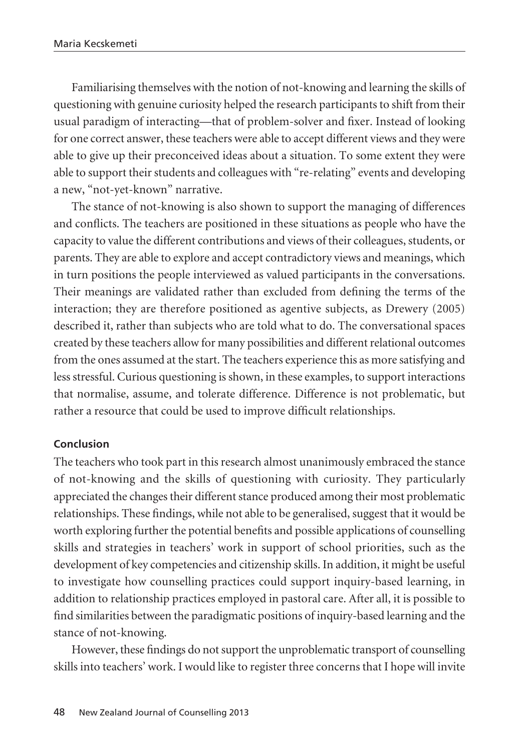Familiarising themselves with the notion of not-knowing and learning the skills of questioning with genuine curiosity helped the research participants to shift from their usual paradigm of interacting—that of problem-solver and fixer. Instead of looking for one correct answer, these teachers were able to accept different views and they were able to give up their preconceived ideas about a situation. To some extent they were able to support their students and colleagues with "re-relating" events and developing a new, "not-yet-known" narrative.

The stance of not-knowing is also shown to support the managing of differences and conflicts. The teachers are positioned in these situations as people who have the capacity to value the different contributions and views of their colleagues, students, or parents. They are able to explore and accept contradictory views and meanings, which in turn positions the people interviewed as valued participants in the conversations. Their meanings are validated rather than excluded from defining the terms of the interaction; they are therefore positioned as agentive subjects, as Drewery (2005) described it, rather than subjects who are told what to do. The conversational spaces created by these teachers allow for many possibilities and different relational outcomes from the ones assumed at the start. The teachers experience this as more satisfying and less stressful. Curious questioning is shown, in these examples, to support interactions that normalise, assume, and tolerate difference. Difference is not problematic, but rather a resource that could be used to improve difficult relationships.

#### **Conclusion**

The teachers who took part in this research almost unanimously embraced the stance of not-knowing and the skills of questioning with curiosity. They particularly appreciated the changes their different stance produced among their most problematic relationships. These findings, while not able to be generalised, suggest that it would be worth exploring further the potential benefits and possible applications of counselling skills and strategies in teachers' work in support of school priorities, such as the development of key competencies and citizenship skills. In addition, it might be useful to investigate how counselling practices could support inquiry-based learning, in addition to relationship practices employed in pastoral care. After all, it is possible to find similarities between the paradigmatic positions of inquiry-based learning and the stance of not-knowing.

However, these findings do not support the unproblematic transport of counselling skills into teachers' work. I would like to register three concerns that I hope will invite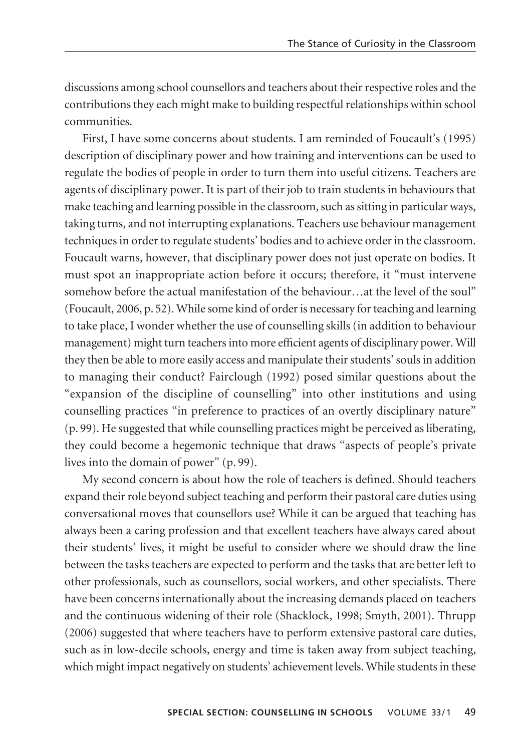discussions among school counsellors and teachers about their respective roles and the contributions they each might make to building respectful relationships within school communities.

First, I have some concerns about students. I am reminded of Foucault's (1995) description of disciplinary power and how training and interventions can be used to regulate the bodies of people in order to turn them into useful citizens. Teachers are agents of disciplinary power. It is part of their job to train students in behaviours that make teaching and learning possible in the classroom, such as sitting in particular ways, taking turns, and not interrupting explanations. Teachers use behaviour management techniques in order to regulate students' bodies and to achieve order in the classroom. Foucault warns, however, that disciplinary power does not just operate on bodies. It must spot an inappropriate action before it occurs; therefore, it "must intervene somehow before the actual manifestation of the behaviour…at the level of the soul" (Foucault, 2006, p. 52). While some kind of order is necessary for teaching and learning to take place, I wonder whether the use of counselling skills (in addition to behaviour management) might turn teachers into more efficient agents of disciplinary power. Will they then be able to more easily access and manipulate their students' souls in addition to managing their conduct? Fairclough (1992) posed similar questions about the "expansion of the discipline of counselling" into other institutions and using counselling practices "in preference to practices of an overtly disciplinary nature" (p. 99). He suggested that while counselling practices might be perceived as liberating, they could become a hegemonic technique that draws "aspects of people's private lives into the domain of power" (p. 99).

My second concern is about how the role of teachers is defined. Should teachers expand their role beyond subject teaching and perform their pastoral care duties using conversational moves that counsellors use? While it can be argued that teaching has always been a caring profession and that excellent teachers have always cared about their students' lives, it might be useful to consider where we should draw the line between the tasks teachers are expected to perform and the tasks that are better left to other professionals, such as counsellors, social workers, and other specialists. There have been concerns internationally about the increasing demands placed on teachers and the continuous widening of their role (Shacklock, 1998; Smyth, 2001). Thrupp (2006) suggested that where teachers have to perform extensive pastoral care duties, such as in low-decile schools, energy and time is taken away from subject teaching, which might impact negatively on students' achievement levels. While students in these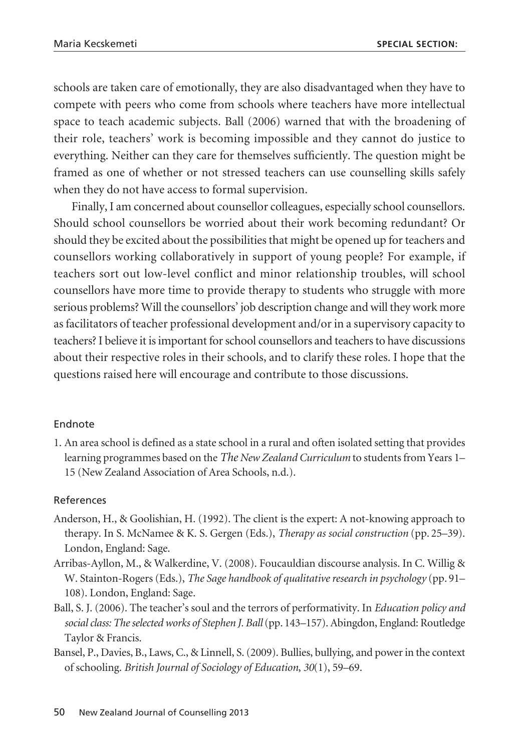schools are taken care of emotionally, they are also disadvantaged when they have to compete with peers who come from schools where teachers have more intellectual space to teach academic subjects. Ball (2006) warned that with the broadening of their role, teachers' work is becoming impossible and they cannot do justice to everything. Neither can they care for themselves sufficiently. The question might be framed as one of whether or not stressed teachers can use counselling skills safely when they do not have access to formal supervision.

Finally, I am concerned about counsellor colleagues, especially school counsellors. Should school counsellors be worried about their work becoming redundant? Or should they be excited about the possibilities that might be opened up for teachers and counsellors working collaboratively in support of young people? For example, if teachers sort out low-level conflict and minor relationship troubles, will school counsellors have more time to provide therapy to students who struggle with more serious problems? Will the counsellors' job description change and will they work more as facilitators of teacher professional development and/or in a supervisory capacity to teachers? I believe it is important for school counsellors and teachers to have discussions about their respective roles in their schools, and to clarify these roles. I hope that the questions raised here will encourage and contribute to those discussions.

## Endnote

1. An area school is defined as a state school in a rural and often isolated setting that provides learning programmes based on the *The New Zealand Curriculum* to students from Years 1– 15 (New Zealand Association of Area Schools, n.d.).

## References

- Anderson, H., & Goolishian, H. (1992). The client is the expert: A not-knowing approach to therapy. In S. McNamee & K. S. Gergen (Eds.), *Therapy as social construction* (pp. 25–39). London, England: Sage.
- Arribas-Ayllon, M., & Walkerdine, V. (2008). Foucauldian discourse analysis. In C. Willig & W. Stainton-Rogers (Eds.), *The Sage handbook of qualitative research in psychology* (pp. 91– 108). London, England: Sage.
- Ball, S. J. (2006). The teacher's soul and the terrors of performativity. In *Education policy and social class: The selected works of Stephen J. Ball*(pp. 143–157). Abingdon, England: Routledge Taylor & Francis.
- Bansel, P., Davies, B., Laws, C., & Linnell, S. (2009). Bullies, bullying, and power in the context of schooling. *British Journal of Sociology of Education*, *30*(1), 59–69.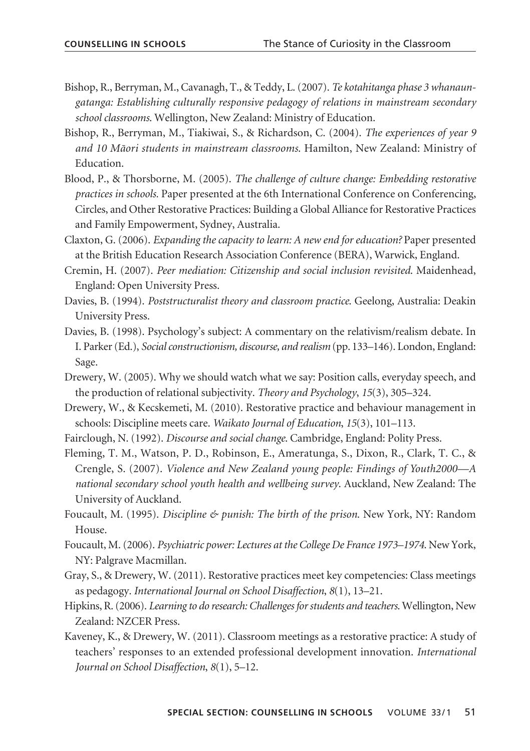- Bishop, R., Berryman, M., Cavanagh, T., & Teddy, L. (2007). *Te kotahitanga phase 3 whanaungatanga: Establishing culturally responsive pedagogy of relations in mainstream secondary school classrooms*. Wellington, New Zealand: Ministry of Education.
- Bishop, R., Berryman, M., Tiakiwai, S., & Richardson, C. (2004). *The experiences of year 9 and 10 Mäori students in mainstream classrooms*. Hamilton, New Zealand: Ministry of Education.
- Blood, P., & Thorsborne, M. (2005). *The challenge of culture change: Embedding restorative practices in schools.* Paper presented at the 6th International Conference on Conferencing, Circles, and Other Restorative Practices: Building a Global Alliance for Restorative Practices and Family Empowerment, Sydney, Australia.
- Claxton, G. (2006). *Expanding the capacity to learn: A new end for education?* Paper presented at the British Education Research Association Conference (BERA), Warwick, England.
- Cremin, H. (2007). *Peer mediation: Citizenship and social inclusion revisited*. Maidenhead, England: Open University Press.
- Davies, B. (1994). *Poststructuralist theory and classroom practice*. Geelong, Australia: Deakin University Press.
- Davies, B. (1998). Psychology's subject: A commentary on the relativism/realism debate. In I. Parker (Ed.), *Social constructionism, discourse, and realism* (pp. 133–146). London, England: Sage.
- Drewery, W. (2005). Why we should watch what we say: Position calls, everyday speech, and the production of relational subjectivity. *Theory and Psychology*, *15*(3), 305–324.
- Drewery, W., & Kecskemeti, M. (2010). Restorative practice and behaviour management in schools: Discipline meets care. *Waikato Journal of Education*, *15*(3), 101–113.
- Fairclough, N. (1992). *Discourse and social change*. Cambridge, England: Polity Press.
- Fleming, T. M., Watson, P. D., Robinson, E., Ameratunga, S., Dixon, R., Clark, T. C., & Crengle, S. (2007). *Violence and New Zealand young people: Findings of Youth2000—A national secondary school youth health and wellbeing survey*. Auckland, New Zealand: The University of Auckland.
- Foucault, M. (1995). *Discipline & punish: The birth of the prison*. New York, NY: Random House.
- Foucault, M. (2006). *Psychiatric power: Lectures at the College De France 1973–1974*. New York, NY: Palgrave Macmillan.
- Gray, S., & Drewery, W. (2011). Restorative practices meet key competencies: Class meetings as pedagogy. *International Journal on School Disaffection*, *8*(1), 13–21.
- Hipkins, R. (2006). *Learning to do research: Challenges for students and teachers*. Wellington, New Zealand: NZCER Press.
- Kaveney, K., & Drewery, W. (2011). Classroom meetings as a restorative practice: A study of teachers' responses to an extended professional development innovation. *International Journal on School Disaffection*, *8*(1), 5–12.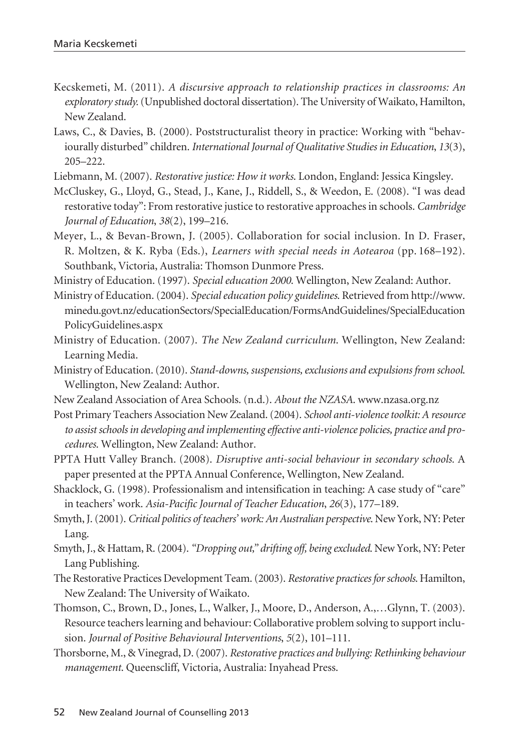- Kecskemeti, M. (2011). *A discursive approach to relationship practices in classrooms: An exploratory study.*(Unpublished doctoral dissertation). The University of Waikato, Hamilton, New Zealand.
- Laws, C., & Davies, B. (2000). Poststructuralist theory in practice: Working with "behaviourally disturbed" children. *International Journal of Qualitative Studies in Education*, *13*(3), 205–222.
- Liebmann, M. (2007). *Restorative justice: How it works*. London, England: Jessica Kingsley.
- McCluskey, G., Lloyd, G., Stead, J., Kane, J., Riddell, S., & Weedon, E. (2008). "I was dead restorative today": From restorative justice to restorative approaches in schools. *Cambridge Journal of Education*, *38*(2), 199–216.
- Meyer, L., & Bevan-Brown, J. (2005). Collaboration for social inclusion. In D. Fraser, R. Moltzen, & K. Ryba (Eds.), *Learners with special needs in Aotearoa* (pp. 168–192). Southbank, Victoria, Australia: Thomson Dunmore Press.

Ministry of Education. (1997). *Special education 2000*. Wellington, New Zealand: Author.

- Ministry of Education. (2004). *Special education policy guidelines*. Retrieved from http://www. minedu.govt.nz/educationSectors/SpecialEducation/FormsAndGuidelines/SpecialEducation PolicyGuidelines.aspx
- Ministry of Education. (2007). *The New Zealand curriculum*. Wellington, New Zealand: Learning Media.
- Ministry of Education. (2010). *Stand-downs, suspensions, exclusions and expulsions from school*. Wellington, New Zealand: Author.
- New Zealand Association of Area Schools. (n.d.). *About the NZASA*. www.nzasa.org.nz
- Post Primary Teachers Association New Zealand. (2004). *School anti-violence toolkit: A resource to assist schools in developing and implementing effective anti-violence policies, practice and procedures*. Wellington, New Zealand: Author.
- PPTA Hutt Valley Branch. (2008). *Disruptive anti-social behaviour in secondary schools.* A paper presented at the PPTA Annual Conference, Wellington, New Zealand.
- Shacklock, G. (1998). Professionalism and intensification in teaching: A case study of "care" in teachers' work. *Asia-Pacific Journal of Teacher Education*, *26*(3), 177–189.
- Smyth, J. (2001). *Critical politics of teachers' work: An Australian perspective*. New York, NY: Peter Lang.
- Smyth, J., & Hattam, R. (2004). *"Dropping out," drifting off, being excluded*. New York, NY: Peter Lang Publishing.
- The Restorative Practices Development Team. (2003). *Restorative practices for schools*. Hamilton, New Zealand: The University of Waikato.
- Thomson, C., Brown, D., Jones, L., Walker, J., Moore, D., Anderson, A.,…Glynn, T. (2003). Resource teachers learning and behaviour: Collaborative problem solving to support inclusion. *Journal of Positive Behavioural Interventions*, *5*(2), 101–111.
- Thorsborne, M., & Vinegrad, D. (2007). *Restorative practices and bullying: Rethinking behaviour management*. Queenscliff, Victoria, Australia: Inyahead Press.